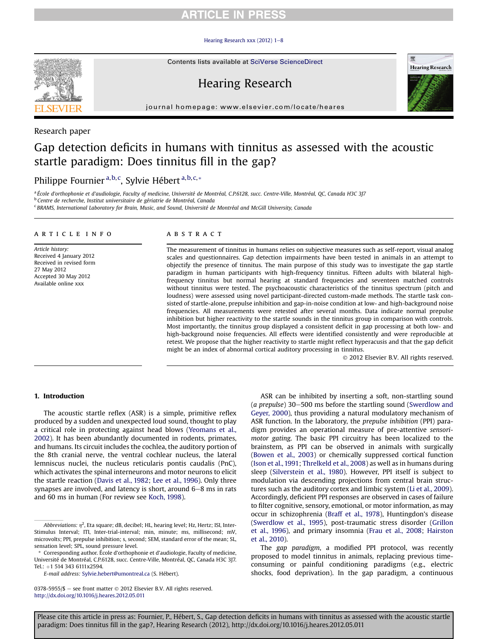## **RTICLE IN PRESS**

#### Hearing Research xxx (2012)  $1-8$  $1-8$



Contents lists available at SciVerse ScienceDirect

# Hearing Research



journal homepage: [www.elsevier.com/locate/heares](http://www.elsevier.com/locate/heares)

#### Research paper

# Gap detection deficits in humans with tinnitus as assessed with the acoustic startle paradigm: Does tinnitus fill in the gap?

### Philippe Fournier<sup>a,b,c</sup>, Sylvie Hébert<sup>a,b,c,</sup>\*

<sup>a</sup> École d'orthophonie et d'audiologie, Faculty of medicine, Université de Montréal, C.P.6128, succ. Centre-Ville, Montréal, QC, Canada H3C 3]7

<sup>b</sup> Centre de recherche, Institut universitaire de gériatrie de Montréal, Canada

<sup>c</sup> BRAMS, International Laboratory for Brain, Music, and Sound, Université de Montréal and McGill University, Canada

#### article info

Article history: Received 4 January 2012 Received in revised form 27 May 2012 Accepted 30 May 2012 Available online xxx

#### **ABSTRACT**

The measurement of tinnitus in humans relies on subjective measures such as self-report, visual analog scales and questionnaires. Gap detection impairments have been tested in animals in an attempt to objectify the presence of tinnitus. The main purpose of this study was to investigate the gap startle paradigm in human participants with high-frequency tinnitus. Fifteen adults with bilateral highfrequency tinnitus but normal hearing at standard frequencies and seventeen matched controls without tinnitus were tested. The psychoacoustic characteristics of the tinnitus spectrum (pitch and loudness) were assessed using novel participant-directed custom-made methods. The startle task consisted of startle-alone, prepulse inhibition and gap-in-noise condition at low- and high-background noise frequencies. All measurements were retested after several months. Data indicate normal prepulse inhibition but higher reactivity to the startle sounds in the tinnitus group in comparison with controls. Most importantly, the tinnitus group displayed a consistent deficit in gap processing at both low- and high-background noise frequencies. All effects were identified consistently and were reproducible at retest. We propose that the higher reactivity to startle might reflect hyperacusis and that the gap deficit might be an index of abnormal cortical auditory processing in tinnitus.

2012 Elsevier B.V. All rights reserved.

#### 1. Introduction

The acoustic startle reflex (ASR) is a simple, primitive reflex produced by a sudden and unexpected loud sound, thought to play a critical role in protecting against head blows [\(Yeomans et al.,](#page-7-0) [2002\)](#page-7-0). It has been abundantly documented in rodents, primates, and humans. Its circuit includes the cochlea, the auditory portion of the 8th cranial nerve, the ventral cochlear nucleus, the lateral lemniscus nuclei, the nucleus reticularis pontis caudalis (PnC), which activates the spinal interneurons and motor neurons to elicit the startle reaction [\(Davis et al., 1982](#page-7-0); [Lee et al., 1996\)](#page-7-0). Only three synapses are involved, and latency is short, around  $6-8$  ms in rats and 60 ms in human (For review see [Koch, 1998](#page-7-0)).

ASR can be inhibited by inserting a soft, non-startling sound  $(a$  prepulse) 30–500 ms before the startling sound [\(Swerdlow and](#page-7-0) [Geyer, 2000](#page-7-0)), thus providing a natural modulatory mechanism of ASR function. In the laboratory, the prepulse inhibition (PPI) paradigm provides an operational measure of pre-attentive sensorimotor gating. The basic PPI circuitry has been localized to the brainstem, as PPI can be observed in animals with surgically ([Bowen et al., 2003](#page-7-0)) or chemically suppressed cortical function ([Ison et al., 1991](#page-7-0); [Threlkeld et al., 2008\)](#page-7-0) as well as in humans during sleep [\(Silverstein et al., 1980\)](#page-7-0). However, PPI itself is subject to modulation via descending projections from central brain structures such as the auditory cortex and limbic system [\(Li et al., 2009\)](#page-7-0). Accordingly, deficient PPI responses are observed in cases of failure to filter cognitive, sensory, emotional, or motor information, as may occur in schizophrenia ([Braff et al., 1978\)](#page-7-0), Huntingdon's disease ([Swerdlow et al., 1995](#page-7-0)), post-traumatic stress disorder ([Grillon](#page-7-0) [et al., 1996](#page-7-0)), and primary insomnia [\(Frau et al., 2008](#page-7-0); [Hairston](#page-7-0) [et al., 2010](#page-7-0)).

The gap paradigm, a modified PPI protocol, was recently proposed to model tinnitus in animals, replacing previous timeconsuming or painful conditioning paradigms (e.g., electric shocks, food deprivation). In the gap paradigm, a continuous

*Abbreviations:*  $\eta^2$ *,* Eta square; dB, decibel; HL, hearing level; Hz, Hertz; ISI, Inter-Stimulus Interval; ITI, Inter-trial-interval; min, minute; ms, millisecond; mV, microvolts; PPI, prepulse inhibition; s, second; SEM, standard error of the mean; SL, sensation level; SPL, sound pressure level.

<sup>\*</sup> Corresponding author. École d'orthophonie et d'audiologie, Faculty of medicine, Université de Montréal, C.P.6128, succ. Centre-Ville, Montréal, QC, Canada H3C 3J7. Tel.: +1 514 343 6111x2594.

E-mail address: [Sylvie.hebert@umontreal.ca](mailto:Sylvie.hebert@umontreal.ca) (S. Hébert).

<sup>0378-5955/\$</sup>  $-$  see front matter  $\odot$  2012 Elsevier B.V. All rights reserved. <http://dx.doi.org/10.1016/j.heares.2012.05.011>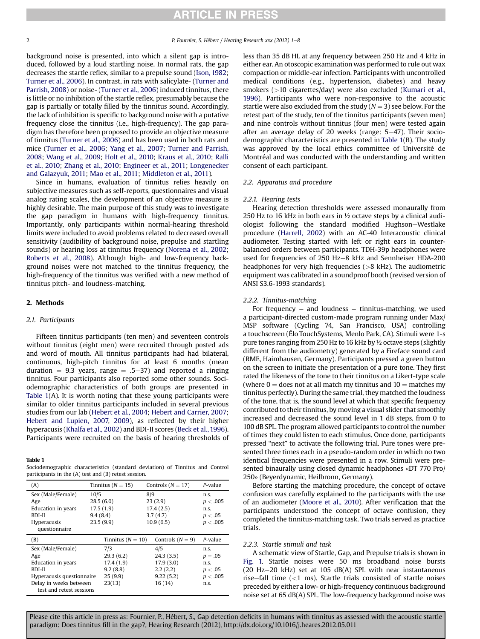background noise is presented, into which a silent gap is introduced, followed by a loud startling noise. In normal rats, the gap decreases the startle reflex, similar to a prepulse sound [\(Ison, 1982](#page-7-0); [Turner et al., 2006\)](#page-7-0). In contrast, in rats with salicylate- [\(Turner and](#page-7-0) [Parrish, 2008](#page-7-0)) or noise- ([Turner et al., 2006\)](#page-7-0) induced tinnitus, there is little or no inhibition of the startle reflex, presumably because the gap is partially or totally filled by the tinnitus sound. Accordingly, the lack of inhibition is specific to background noise with a putative frequency close the tinnitus (i.e., high-frequency). The gap paradigm has therefore been proposed to provide an objective measure of tinnitus [\(Turner et al., 2006](#page-7-0)) and has been used in both rats and mice ([Turner et al., 2006;](#page-7-0) [Yang et al., 2007;](#page-7-0) [Turner and Parrish,](#page-7-0) [2008](#page-7-0); [Wang et al., 2009;](#page-7-0) [Holt et al., 2010;](#page-7-0) [Kraus et al., 2010;](#page-7-0) [Ralli](#page-7-0) [et al., 2010](#page-7-0); [Zhang et al., 2010;](#page-7-0) [Engineer et al., 2011;](#page-7-0) [Longenecker](#page-7-0) [and Galazyuk, 2011](#page-7-0); [Mao et al., 2011](#page-7-0); [Middleton et al., 2011](#page-7-0)).

Since in humans, evaluation of tinnitus relies heavily on subjective measures such as self-reports, questionnaires and visual analog rating scales, the development of an objective measure is highly desirable. The main purpose of this study was to investigate the gap paradigm in humans with high-frequency tinnitus. Importantly, only participants within normal-hearing threshold limits were included to avoid problems related to decreased overall sensitivity (audibility of background noise, prepulse and startling sounds) or hearing loss at tinnitus frequency ([Norena et al., 2002](#page-7-0); [Roberts et al., 2008\)](#page-7-0). Although high- and low-frequency background noises were not matched to the tinnitus frequency, the high-frequency of the tinnitus was verified with a new method of tinnitus pitch- and loudness-matching.

#### 2. Methods

#### 2.1. Participants

Fifteen tinnitus participants (ten men) and seventeen controls without tinnitus (eight men) were recruited through posted ads and word of mouth. All tinnitus participants had had bilateral, continuous, high-pitch tinnitus for at least 6 months (mean duration  $= 9.3$  years, range  $= .5-37$ ) and reported a ringing tinnitus. Four participants also reported some other sounds. Sociodemographic characteristics of both groups are presented in Table 1(A). It is worth noting that these young participants were similar to older tinnitus participants included in several previous studies from our lab ([Hebert et al., 2004](#page-7-0); [Hebert and Carrier, 2007](#page-7-0); [Hebert and Lupien, 2007,](#page-7-0) [2009\)](#page-7-0), as reflected by their higher hyperacusis ([Khalfa et al., 2002](#page-7-0)) and BDI-II scores [\(Beck et al., 1996\)](#page-6-0). Participants were recruited on the basis of hearing thresholds of

#### Table 1

Sociodemographic characteristics (standard deviation) of Tinnitus and Control participants in the (A) test and (B) retest session.

| (A)                                                | Tinnitus ( $N = 15$ ) | Controls $(N = 17)$ | P-value  |
|----------------------------------------------------|-----------------------|---------------------|----------|
| Sex (Male/Female)<br>10/5                          |                       | 8/9                 | n.s.     |
| Age                                                | 28.5(6.0)             | 23(2.9)             | p < .005 |
| Education in years                                 | 17.5(1.9)             | 17.4(2.5)           | n.s.     |
| BDI-II                                             | 9.4(8.4)              | 3.7(4.7)            | p < .05  |
| <b>Hyperacusis</b>                                 | 23.5(9.9)             | 10.9(6.5)           | p < .005 |
| questionnaire                                      |                       |                     |          |
| (B)                                                | Tinnitus ( $N = 10$ ) | Controls $(N = 9)$  | P-value  |
| Sex (Male/Female)                                  | 7/3                   | 4/5                 | n.s.     |
| Age                                                | 29.3(6.2)             | 24.3(3.5)           | $p=.05$  |
| Education in years                                 | 17.4(1.9)             | 17.9(3.0)           | n.s.     |
| BDI-II                                             | 9.2(8.8)              | 2.2(2.2)            | p < .05  |
| Hyperacusis questionnaire                          | 25(9.9)               | 9.22(5.2)           | p < .005 |
| Delay in weeks between<br>test and retest sessions | 23(13)                | 16(14)              | n.s.     |

less than 35 dB HL at any frequency between 250 Hz and 4 kHz in either ear. An otoscopic examination was performed to rule out wax compaction or middle-ear infection. Participants with uncontrolled medical conditions (e.g., hypertension, diabetes) and heavy smokers (>10 cigarettes/day) were also excluded [\(Kumari et al.,](#page-7-0) [1996](#page-7-0)). Participants who were non-responsive to the acoustic startle were also excluded from the study ( $N = 3$ ) see below. For the retest part of the study, ten of the tinnitus participants (seven men) and nine controls without tinnitus (four men) were tested again after an average delay of 20 weeks (range: 5-47). Their sociodemographic characteristics are presented in Table 1(B). The study was approved by the local ethics committee of Université de Montréal and was conducted with the understanding and written consent of each participant.

#### 2.2. Apparatus and procedure

#### 2.2.1. Hearing tests

Hearing detection thresholds were assessed monaurally from 250 Hz to 16 kHz in both ears in ½ octave steps by a clinical audiologist following the standard modified Hughson-Westlake procedure [\(Harrell, 2002](#page-7-0)) with an AC-40 Interacoustic clinical audiometer. Testing started with left or right ears in counterbalanced orders between participants. TDH-39p headphones were used for frequencies of 250 Hz-8 kHz and Sennheiser HDA-200 headphones for very high frequencies (>8 kHz). The audiometric equipment was calibrated in a soundproof booth (revised version of ANSI S3.6-1993 standards).

#### 2.2.2. Tinnitus-matching

For frequency – and loudness – tinnitus-matching, we used a participant-directed custom-made program running under Max/ MSP software (Cycling 74, San Francisco, USA) controlling a touchscreen (Élo TouchSystems, Menlo Park, CA). Stimuli were 1-s pure tones ranging from 250 Hz to 16 kHz by ½ octave steps (slightly different from the audiometry) generated by a Fireface sound card (RME, Haimhausen, Germany). Participants pressed a green button on the screen to initiate the presentation of a pure tone. They first rated the likeness of the tone to their tinnitus on a Likert-type scale (where  $0 =$  does not at all match my tinnitus and  $10 =$  matches my tinnitus perfectly). During the same trial, they matched the loudness of the tone, that is, the sound level at which that specific frequency contributed to their tinnitus, by moving a visual slider that smoothly increased and decreased the sound level in 1 dB steps, from 0 to 100 dB SPL. The program allowed participants to control the number of times they could listen to each stimulus. Once done, participants pressed "next" to activate the following trial. Pure tones were presented three times each in a pseudo-random order in which no two identical frequencies were presented in a row. Stimuli were presented binaurally using closed dynamic headphones «DT 770 Pro/ 250» (Beyerdynamic, Heilbronn, Germany).

Before starting the matching procedure, the concept of octave confusion was carefully explained to the participants with the use of an audiometer ([Moore et al., 2010](#page-7-0)). After verification that the participants understood the concept of octave confusion, they completed the tinnitus-matching task. Two trials served as practice trials.

#### 2.2.3. Startle stimuli and task

A schematic view of Startle, Gap, and Prepulse trials is shown in [Fig. 1.](#page-2-0) Startle noises were 50 ms broadband noise bursts (20 Hz-20 kHz) set at 105 dB(A) SPL with near instantaneous rise-fall time  $\left($  <1 ms). Startle trials consisted of startle noises preceded by either a low- or high-frequency continuous background noise set at 65 dB(A) SPL. The low-frequency background noise was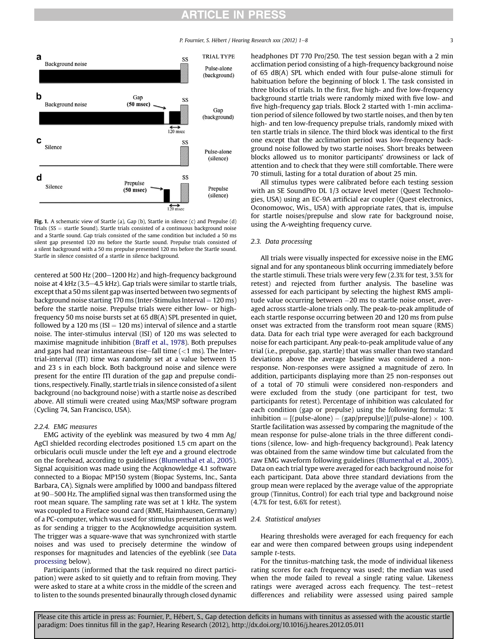## **ARTICLE IN PRESS**

P. Fournier, S. Hébert / Hearing Research xxx (2012) 1–8 3

<span id="page-2-0"></span>

Fig. 1. A schematic view of Startle (a), Gap (b), Startle in silence (c) and Prepulse (d) Trials ( $SS$   $=$  startle Sound). Startle trials consisted of a continuous background noise and a Startle sound. Gap trials consisted of the same condition but included a 50 ms silent gap presented 120 ms before the Startle sound. Prepulse trials consisted of a silent background with a 50 ms prepulse presented 120 ms before the Startle sound. Startle in silence consisted of a startle in silence background.

centered at 500 Hz (200 $-1200$  Hz) and high-frequency background noise at 4 kHz  $(3.5-4.5$  kHz). Gap trials were similar to startle trials, except that a 50 ms silent gap was inserted between two segments of background noise starting 170 ms (Inter-Stimulus Interval  $= 120$  ms) before the startle noise. Prepulse trials were either low- or highfrequency 50 ms noise bursts set at 65 dB(A) SPL presented in quiet, followed by a 120 ms ( $ISI = 120$  ms) interval of silence and a startle noise. The inter-stimulus interval (ISI) of 120 ms was selected to maximise magnitude inhibition [\(Braff et al., 1978](#page-7-0)). Both prepulses and gaps had near instantaneous rise-fall time  $(<1$  ms). The Intertrial-interval (ITI) time was randomly set at a value between 15 and 23 s in each block. Both background noise and silence were present for the entire ITI duration of the gap and prepulse conditions, respectively. Finally, startle trials in silence consisted of a silent background (no background noise) with a startle noise as described above. All stimuli were created using Max/MSP software program (Cycling 74, San Francisco, USA).

#### 2.2.4. EMG measures

EMG activity of the eyeblink was measured by two 4 mm Ag/ AgCl shielded recording electrodes positioned 1.5 cm apart on the orbicularis oculi muscle under the left eye and a ground electrode on the forehead, according to guidelines ([Blumenthal et al., 2005\)](#page-7-0). Signal acquisition was made using the Acqknowledge 4.1 software connected to a Biopac MP150 system (Biopac Systems, Inc., Santa Barbara, CA). Signals were amplified by 1000 and bandpass filtered at 90-500 Hz. The amplified signal was then transformed using the root mean square. The sampling rate was set at 1 kHz. The system was coupled to a Fireface sound card (RME, Haimhausen, Germany) of a PC-computer, which was used for stimulus presentation as well as for sending a trigger to the Acqknowledge acquisition system. The trigger was a square-wave that was synchronized with startle noises and was used to precisely determine the window of responses for magnitudes and latencies of the eyeblink (see Data processing below).

Participants (informed that the task required no direct participation) were asked to sit quietly and to refrain from moving. They were asked to stare at a white cross in the middle of the screen and to listen to the sounds presented binaurally through closed dynamic headphones DT 770 Pro/250. The test session began with a 2 min acclimation period consisting of a high-frequency background noise of 65 dB(A) SPL which ended with four pulse-alone stimuli for habituation before the beginning of block 1. The task consisted in three blocks of trials. In the first, five high- and five low-frequency background startle trials were randomly mixed with five low- and five high-frequency gap trials. Block 2 started with 1-min acclimation period of silence followed by two startle noises, and then by ten high- and ten low-frequency prepulse trials, randomly mixed with ten startle trials in silence. The third block was identical to the first one except that the acclimation period was low-frequency background noise followed by two startle noises. Short breaks between blocks allowed us to monitor participants' drowsiness or lack of attention and to check that they were still comfortable. There were 70 stimuli, lasting for a total duration of about 25 min.

All stimulus types were calibrated before each testing session with an SE SoundPro DL 1/3 octave level meter (Quest Technologies, USA) using an EC-9A artificial ear coupler (Quest electronics, Oconomowoc, Wis., USA) with appropriate rates, that is, impulse for startle noises/prepulse and slow rate for background noise, using the A-weighting frequency curve.

#### 2.3. Data processing

All trials were visually inspected for excessive noise in the EMG signal and for any spontaneous blink occurring immediately before the startle stimuli. These trials were very few (2.3% for test, 3.5% for retest) and rejected from further analysis. The baseline was assessed for each participant by selecting the highest RMS amplitude value occurring between -20 ms to startle noise onset, averaged across startle-alone trials only. The peak-to-peak amplitude of each startle response occurring between 20 and 120 ms from pulse onset was extracted from the transform root mean square (RMS) data. Data for each trial type were averaged for each background noise for each participant. Any peak-to-peak amplitude value of any trial (i.e., prepulse, gap, startle) that was smaller than two standard deviations above the average baseline was considered a nonresponse. Non-responses were assigned a magnitude of zero. In addition, participants displaying more than 25 non-responses out of a total of 70 stimuli were considered non-responders and were excluded from the study (one participant for test, two participants for retest). Percentage of inhibition was calculated for each condition (gap or prepulse) using the following formula: %  $\text{inhibition} = \left[ \text{(pulse-alone)} - \text{(gap/prepulse)} \right] / \left( \text{pulse-alone)} \times 100. \right]$ Startle facilitation was assessed by comparing the magnitude of the mean response for pulse-alone trials in the three different conditions (silence, low- and high-frequency background). Peak latency was obtained from the same window time but calculated from the raw EMG waveform following guidelines [\(Blumenthal et al., 2005\)](#page-7-0). Data on each trial type were averaged for each background noise for each participant. Data above three standard deviations from the group mean were replaced by the average value of the appropriate group (Tinnitus, Control) for each trial type and background noise (4.7% for test, 6.6% for retest).

#### 2.4. Statistical analyses

Hearing thresholds were averaged for each frequency for each ear and were then compared between groups using independent sample t-tests.

For the tinnitus-matching task, the mode of individual likeness rating scores for each frequency was used; the median was used when the mode failed to reveal a single rating value. Likeness ratings were averaged across each frequency. The test-retest differences and reliability were assessed using paired sample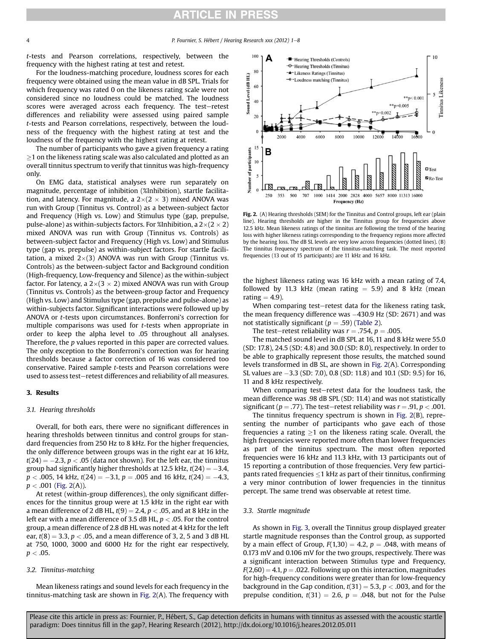# **RTICLE IN PRESS**

t-tests and Pearson correlations, respectively, between the frequency with the highest rating at test and retest.

For the loudness-matching procedure, loudness scores for each frequency were obtained using the mean value in dB SPL. Trials for which frequency was rated 0 on the likeness rating scale were not considered since no loudness could be matched. The loudness scores were averaged across each frequency. The test-retest differences and reliability were assessed using paired sample t-tests and Pearson correlations, respectively, between the loudness of the frequency with the highest rating at test and the loudness of the frequency with the highest rating at retest.

The number of participants who gave a given frequency a rating  $\geq$ 1 on the likeness rating scale was also calculated and plotted as an overall tinnitus spectrum to verify that tinnitus was high-frequency only.

On EMG data, statistical analyses were run separately on magnitude, percentage of inhibition (%Inhibition), startle facilitation, and latency. For magnitude, a  $2\times(2\times 3)$  mixed ANOVA was run with Group (Tinnitus vs. Control) as a between-subject factor and Frequency (High vs. Low) and Stimulus type (gap, prepulse, pulse-alone) as within-subjects factors. For %Inhibition, a  $2\times(2\times2)$ mixed ANOVA was run with Group (Tinnitus vs. Controls) as between-subject factor and Frequency (High vs. Low) and Stimulus type (gap vs. prepulse) as within-subject factors. For startle facilitation, a mixed  $2\times(3)$  ANOVA was run with Group (Tinnitus vs. Controls) as the between-subject factor and Background condition (High-frequency, Low-frequency and Silence) as the within-subject factor. For latency, a  $2\times(3\times2)$  mixed ANOVA was run with Group (Tinnitus vs. Controls) as the between-group factor and Frequency (High vs. Low) and Stimulus type (gap, prepulse and pulse-alone) as within-subjects factor. Significant interactions were followed up by ANOVA or t-tests upon circumstances. Bonferroni's correction for multiple comparisons was used for t-tests when appropriate in order to keep the alpha level to .05 throughout all analyses. Therefore, the p values reported in this paper are corrected values. The only exception to the Bonferroni's correction was for hearing thresholds because a factor correction of 16 was considered too conservative. Paired sample t-tests and Pearson correlations were used to assess test-retest differences and reliability of all measures.

#### 3. Results

#### 3.1. Hearing thresholds

Overall, for both ears, there were no significant differences in hearing thresholds between tinnitus and control groups for standard frequencies from 250 Hz to 8 kHz. For the higher frequencies, the only difference between groups was in the right ear at 16 kHz,  $t(24) = -2.3, p < .05$  (data not shown). For the left ear, the tinnitus group had significantly higher thresholds at  $12.5$  kHz,  $t(24) = -3.4$ ,  $p < .005$ , 14 kHz,  $t(24) = -3.1$ ,  $p = .005$  and 16 kHz,  $t(24) = -4.3$ ,  $p < .001$  (Fig. 2(A)).

At retest (within-group differences), the only significant differences for the tinnitus group were at 1.5 kHz in the right ear with a mean difference of 2 dB HL,  $t(9) = 2.4$ ,  $p < .05$ , and at 8 kHz in the left ear with a mean difference of 3.5 dB HL,  $p < .05$ . For the control group, a mean difference of 2.8 dB HL was noted at 4 kHz for the left ear,  $t(8) = 3.3$ ,  $p < .05$ , and a mean difference of 3, 2, 5 and 3 dB HL at 750, 1000, 3000 and 6000 Hz for the right ear respectively,  $p < .05$ .

#### 3.2. Tinnitus-matching

Mean likeness ratings and sound levels for each frequency in the tinnitus-matching task are shown in Fig. 2(A). The frequency with



Fig. 2. (A) Hearing thresholds (SEM) for the Tinnitus and Control groups, left ear (plain line). Hearing thresholds are higher in the Tinnitus group for frequencies above 12.5 kHz. Mean likeness ratings of the tinnitus are following the trend of the hearing loss with higher likeness ratings corresponding to the frequency regions more affected by the hearing loss. The dB SL levels are very low across frequencies (dotted lines). (B) The tinnitus frequency spectrum of the tinnitus-matching task. The most reported frequencies (13 out of 15 participants) are 11 kHz and 16 kHz.

the highest likeness rating was 16 kHz with a mean rating of 7.4, followed by 11.3 kHz (mean rating  $= 5.9$ ) and 8 kHz (mean rating  $= 4.9$ ).

When comparing test–retest data for the likeness rating task, the mean frequency difference was  $-430.9$  Hz (SD: 2671) and was not statistically significant ( $p = .59$ ) [\(Table 2](#page-4-0)).

The test–retest reliability was  $r = .754$ ,  $p = .005$ .

The matched sound level in dB SPL at 16, 11 and 8 kHz were 55.0 (SD: 17.8), 24.5 (SD: 4.8) and 30.0 (SD: 8.0), respectively. In order to be able to graphically represent those results, the matched sound levels transformed in dB SL, are shown in Fig. 2(A). Corresponding SL values are -3.3 (SD: 7.0), 0.8 (SD: 11.8) and 10.1 (SD: 9.5) for 16, 11 and 8 kHz respectively.

When comparing test-retest data for the loudness task, the mean difference was .98 dB SPL (SD: 11.4) and was not statistically significant ( $p = .77$ ). The test-retest reliability was  $r = .91$ ,  $p < .001$ .

The tinnitus frequency spectrum is shown in Fig. 2(B), representing the number of participants who gave each of those frequencies a rating  $>1$  on the likeness rating scale. Overall, the high frequencies were reported more often than lower frequencies as part of the tinnitus spectrum. The most often reported frequencies were 16 kHz and 11.3 kHz, with 13 participants out of 15 reporting a contribution of those frequencies. Very few participants rated frequencies  $\leq$ 1 kHz as part of their tinnitus, confirming a very minor contribution of lower frequencies in the tinnitus percept. The same trend was observable at retest time.

#### 3.3. Startle magnitude

As shown in [Fig. 3,](#page-4-0) overall the Tinnitus group displayed greater startle magnitude responses than the Control group, as supported by a main effect of Group,  $F(1,30) = 4.2$ ,  $p = .048$ , with means of 0.173 mV and 0.106 mV for the two groups, respectively. There was a significant interaction between Stimulus type and Frequency,  $F(2,60) = 4.1$ ,  $p = .022$ . Following up on this interaction, magnitudes for high-frequency conditions were greater than for low-frequency background in the Gap condition,  $t(31) = 5.3$ ,  $p < .003$ , and for the prepulse condition,  $t(31) = 2.6$ ,  $p = .048$ , but not for the Pulse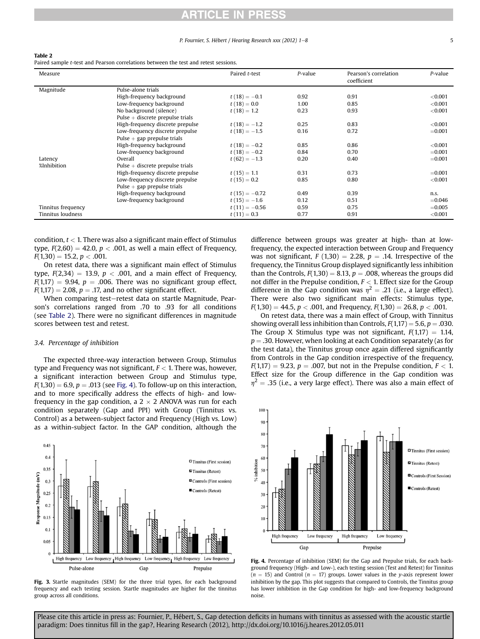## ICLE IN PRES

#### P. Fournier, S. Hébert / Hearing Research xxx (2012) 1–8 5

#### <span id="page-4-0"></span>Table 2

| Paired sample t-test and Pearson correlations between the test and retest sessions. |  |  |  |
|-------------------------------------------------------------------------------------|--|--|--|
|-------------------------------------------------------------------------------------|--|--|--|

| Measure            |                                    | Paired t-test   | P-value | Pearson's correlation<br>coefficient | P-value    |
|--------------------|------------------------------------|-----------------|---------|--------------------------------------|------------|
| Magnitude          | Pulse-alone trials                 |                 |         |                                      |            |
|                    | High-frequency background          | $t(18) = -0.1$  | 0.92    | 0.91                                 | < 0.001    |
|                    | Low-frequency background           | $t(18) = 0.0$   | 1.00    | 0.85                                 | < 0.001    |
|                    | No background (silence)            | $t(18) = 1.2$   | 0.23    | 0.93                                 | < 0.001    |
|                    | Pulse $+$ discrete prepulse trials |                 |         |                                      |            |
|                    | High-frequency discrete prepulse   | $t(18) = -1.2$  | 0.25    | 0.83                                 | ${<}0.001$ |
|                    | Low-frequency discrete prepulse    | $t(18) = -1.5$  | 0.16    | 0.72                                 | $=0.001$   |
|                    | Pulse $+$ gap prepulse trials      |                 |         |                                      |            |
|                    | High-frequency background          | $t(18) = -0.2$  | 0.85    | 0.86                                 | $<$ 0.001  |
|                    | Low-frequency background           | $t(18) = -0.2$  | 0.84    | 0.70                                 | $=0.001$   |
| Latency            | Overall                            | $t(62) = -1.3$  | 0.20    | 0.40                                 | $=0.001$   |
| %Inhibition        | Pulse $+$ discrete prepulse trials |                 |         |                                      |            |
|                    | High-frequency discrete prepulse   | $t(15) = 1.1$   | 0.31    | 0.73                                 | $=0.001$   |
|                    | Low-frequency discrete prepulse    | $t(15) = 0.2$   | 0.85    | 0.80                                 | < 0.001    |
|                    | Pulse $+$ gap prepulse trials      |                 |         |                                      |            |
|                    | High-frequency background          | $t(15) = -0.72$ | 0.49    | 0.39                                 | n.s.       |
|                    | Low-frequency background           | $t(15) = -1.6$  | 0.12    | 0.51                                 | $= 0.046$  |
| Tinnitus frequency |                                    | $t(11) = -0.56$ | 0.59    | 0.75                                 | $=0.005$   |
| Tinnitus loudness  |                                    | $t(11) = 0.3$   | 0.77    | 0.91                                 | < 0.001    |

condition,  $t < 1$ . There was also a significant main effect of Stimulus type,  $F(2,60) = 42.0$ ,  $p < .001$ , as well a main effect of Frequency,  $F(1,30) = 15.2, p < .001.$ 

On retest data, there was a significant main effect of Stimulus type,  $F(2,34) = 13.9$ ,  $p < .001$ , and a main effect of Frequency,  $F(1,17) = 9.94$ ,  $p = .006$ . There was no significant group effect,  $F(1,17) = 2.08$ ,  $p = .17$ , and no other significant effect.

When comparing test-retest data on startle Magnitude, Pearson's correlations ranged from .70 to .93 for all conditions (see Table 2). There were no significant differences in magnitude scores between test and retest.

#### 3.4. Percentage of inhibition

The expected three-way interaction between Group, Stimulus type and Frequency was not significant,  $F < 1$ . There was, however, a significant interaction between Group and Stimulus type,  $F(1,30) = 6.9$ ,  $p = .013$  (see Fig. 4). To follow-up on this interaction, and to more specifically address the effects of high- and lowfrequency in the gap condition, a  $2 \times 2$  ANOVA was run for each condition separately (Gap and PPI) with Group (Tinnitus vs. Control) as a between-subject factor and Frequency (High vs. Low) as a within-subject factor. In the GAP condition, although the



Fig. 3. Startle magnitudes (SEM) for the three trial types, for each background frequency and each testing session. Startle magnitudes are higher for the tinnitus group across all conditions.

difference between groups was greater at high- than at lowfrequency, the expected interaction between Group and Frequency was not significant,  $F(1,30) = 2.28$ ,  $p = .14$ . Irrespective of the frequency, the Tinnitus Group displayed significantly less inhibition than the Controls,  $F(1,30) = 8.13$ ,  $p = .008$ , whereas the groups did not differ in the Prepulse condition,  $F < 1$ . Effect size for the Group difference in the Gap condition was  $\eta^2 = .21$  (i.e., a large effect). There were also two significant main effects: Stimulus type,  $F(1,30) = 44.5, p < .001$ , and Frequency,  $F(1,30) = 26.8, p < .001$ .

On retest data, there was a main effect of Group, with Tinnitus showing overall less inhibition than Controls,  $F(1,17) = 5.6$ ,  $p = .030$ . The Group X Stimulus type was not significant,  $F(1,17) = 1.14$ ,  $p = 0.30$ . However, when looking at each Condition separately (as for the test data), the Tinnitus group once again differed significantly from Controls in the Gap condition irrespective of the frequency,  $F(1,17) = 9.23, p = .007$ , but not in the Prepulse condition,  $F < 1$ . Effect size for the Group difference in the Gap condition was  $\eta^2$  = .35 (i.e., a very large effect). There was also a main effect of



Fig. 4. Percentage of inhibition (SEM) for the Gap and Prepulse trials, for each background frequency (High- and Low-), each testing session (Test and Retest) for Tinnitus  $(n = 15)$  and Control  $(n = 17)$  groups. Lower values in the y-axis represent lower inhibition by the gap. This plot suggests that compared to Controls, the Tinnitus group has lower inhibition in the Gap condition for high- and low-frequency background noise.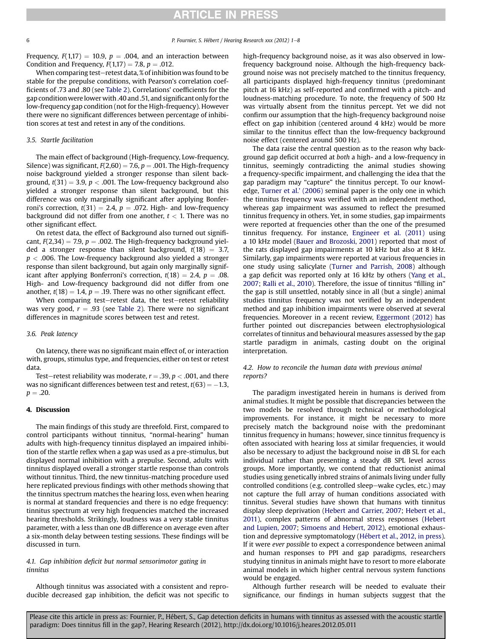## **ARTICLE IN PRESS**

Frequency,  $F(1,17) = 10.9$ ,  $p = .004$ , and an interaction between Condition and Frequency,  $F(1,17) = 7.8$ ,  $p = .012$ .

When comparing test-retest data, % of inhibition was found to be stable for the prepulse conditions, with Pearson's correlation coefficients of .73 and .80 (see [Table 2\)](#page-4-0). Correlations' coefficients for the gap conditionwere lower with .40 and .51, and significant only for the low-frequency gap condition (not for the High-frequency). However there were no significant differences between percentage of inhibition scores at test and retest in any of the conditions.

#### 3.5. Startle facilitation

The main effect of background (High-frequency, Low-frequency, Silence) was significant,  $F(2,60) = 7.6$ ,  $p = .001$ . The High-frequency noise background yielded a stronger response than silent background,  $t(31) = 3.9$ ,  $p < .001$ . The Low-frequency background also yielded a stronger response than silent background, but this difference was only marginally significant after applying Bonferroni's correction,  $t(31) = 2.4$ ,  $p = .072$ . High- and low-frequency background did not differ from one another,  $t < 1$ . There was no other significant effect.

On retest data, the effect of Background also turned out significant,  $F(2,34) = 7.9$ ,  $p = .002$ . The High-frequency background yielded a stronger response than silent background,  $t(18) = 3.7$ ,  $p < .006$ . The Low-frequency background also yielded a stronger response than silent background, but again only marginally significant after applying Bonferroni's correction,  $t(18) = 2.4$ ,  $p = .08$ . High- and Low-frequency background did not differ from one another,  $t(18) = 1.4$ ,  $p = .19$ . There was no other significant effect.

When comparing test-retest data, the test-retest reliability was very good,  $r = .93$  (see [Table 2\)](#page-4-0). There were no significant differences in magnitude scores between test and retest.

#### 3.6. Peak latency

On latency, there was no significant main effect of, or interaction with, groups, stimulus type, and frequencies, either on test or retest data.

Test–retest reliability was moderate,  $r = .39$ ,  $p < .001$ , and there was no significant differences between test and retest,  $t(63) = -1.3$ ,  $p = .20.$ 

#### 4. Discussion

The main findings of this study are threefold. First, compared to control participants without tinnitus, "normal-hearing" human adults with high-frequency tinnitus displayed an impaired inhibition of the startle reflex when a gap was used as a pre-stimulus, but displayed normal inhibition with a prepulse. Second, adults with tinnitus displayed overall a stronger startle response than controls without tinnitus. Third, the new tinnitus-matching procedure used here replicated previous findings with other methods showing that the tinnitus spectrum matches the hearing loss, even when hearing is normal at standard frequencies and there is no edge frequency: tinnitus spectrum at very high frequencies matched the increased hearing thresholds. Strikingly, loudness was a very stable tinnitus parameter, with a less than one dB difference on average even after a six-month delay between testing sessions. These findings will be discussed in turn.

#### 4.1. Gap inhibition deficit but normal sensorimotor gating in tinnitus

Although tinnitus was associated with a consistent and reproducible decreased gap inhibition, the deficit was not specific to high-frequency background noise, as it was also observed in lowfrequency background noise. Although the high-frequency background noise was not precisely matched to the tinnitus frequency, all participants displayed high-frequency tinnitus (predominant pitch at 16 kHz) as self-reported and confirmed with a pitch- and loudness-matching procedure. To note, the frequency of 500 Hz was virtually absent from the tinnitus percept. Yet we did not confirm our assumption that the high-frequency background noise effect on gap inhibition (centered around 4 kHz) would be more similar to the tinnitus effect than the low-frequency background noise effect (centered around 500 Hz).

The data raise the central question as to the reason why background gap deficit occurred at both a high- and a low-frequency in tinnitus, seemingly contradicting the animal studies showing a frequency-specific impairment, and challenging the idea that the gap paradigm may "capture" the tinnitus percept. To our knowledge, [Turner et al.](#page-7-0)' (2006) seminal paper is the only one in which the tinnitus frequency was verified with an independent method, whereas gap impairment was assumed to reflect the presumed tinnitus frequency in others. Yet, in some studies, gap impairments were reported at frequencies other than the one of the presumed tinnitus frequency. For instance, [Engineer et al. \(2011\)](#page-7-0) using a 10 kHz model ([Bauer and Brozoski, 2001\)](#page-6-0) reported that most of the rats displayed gap impairments at 10 kHz but also at 8 kHz. Similarly, gap impairments were reported at various frequencies in one study using salicylate ([Turner and Parrish, 2008\)](#page-7-0) although a gap deficit was reported only at 16 kHz by others [\(Yang et al.,](#page-7-0) [2007;](#page-7-0) [Ralli et al., 2010\)](#page-7-0). Therefore, the issue of tinnitus "filling in" the gap is still unsettled, notably since in all (but a single) animal studies tinnitus frequency was not verified by an independent method and gap inhibition impairments were observed at several frequencies. Moreover in a recent review, [Eggermont \(2012\)](#page-7-0) has further pointed out discrepancies between electrophysiological correlates of tinnitus and behavioural measures assessed by the gap startle paradigm in animals, casting doubt on the original interpretation.

#### 4.2. How to reconcile the human data with previous animal reports?

The paradigm investigated herein in humans is derived from animal studies. It might be possible that discrepancies between the two models be resolved through technical or methodological improvements. For instance, it might be necessary to more precisely match the background noise with the predominant tinnitus frequency in humans; however, since tinnitus frequency is often associated with hearing loss at similar frequencies, it would also be necessary to adjust the background noise in dB SL for each individual rather than presenting a steady dB SPL level across groups. More importantly, we contend that reductionist animal studies using genetically inbred strains of animals living under fully controlled conditions (e.g. controlled sleep-wake cycles, etc.) may not capture the full array of human conditions associated with tinnitus. Several studies have shown that humans with tinnitus display sleep deprivation [\(Hebert and Carrier, 2007](#page-7-0); [Hebert et al.,](#page-7-0) [2011\)](#page-7-0), complex patterns of abnormal stress responses ([Hebert](#page-7-0) [and Lupien, 2007](#page-7-0); [Simoens and Hebert, 2012](#page-7-0)), emotional exhaustion and depressive symptomatology [\(Hébert et al., 2012,](#page-7-0) [in press\)](#page-7-0). If it were ever possible to expect a correspondence between animal and human responses to PPI and gap paradigms, researchers studying tinnitus in animals might have to resort to more elaborate animal models in which higher central nervous system functions would be engaged.

Although further research will be needed to evaluate their significance, our findings in human subjects suggest that the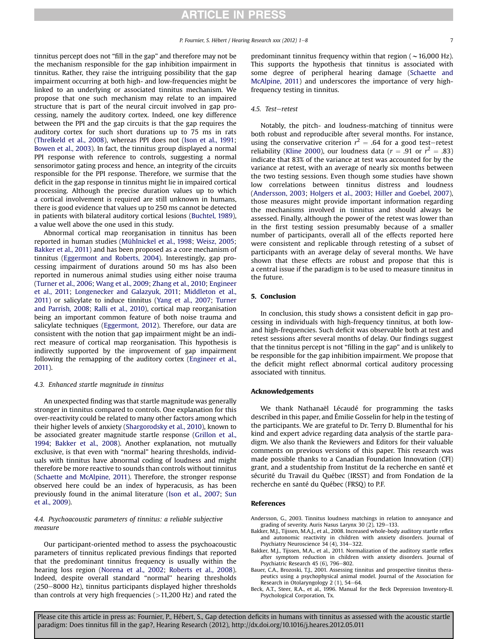<span id="page-6-0"></span>tinnitus percept does not "fill in the gap" and therefore may not be the mechanism responsible for the gap inhibition impairment in tinnitus. Rather, they raise the intriguing possibility that the gap impairment occurring at both high- and low-frequencies might be linked to an underlying or associated tinnitus mechanism. We propose that one such mechanism may relate to an impaired structure that is part of the neural circuit involved in gap processing, namely the auditory cortex. Indeed, one key difference between the PPI and the gap circuits is that the gap requires the auditory cortex for such short durations up to 75 ms in rats ([Threlkeld et al., 2008](#page-7-0)), whereas PPI does not ([Ison et al., 1991;](#page-7-0) [Bowen et al., 2003](#page-7-0)). In fact, the tinnitus group displayed a normal PPI response with reference to controls, suggesting a normal sensorimotor gating process and hence, an integrity of the circuits responsible for the PPI response. Therefore, we surmise that the deficit in the gap response in tinnitus might lie in impaired cortical processing. Although the precise duration values up to which a cortical involvement is required are still unknown in humans, there is good evidence that values up to 250 ms cannot be detected in patients with bilateral auditory cortical lesions ([Buchtel, 1989\)](#page-7-0), a value well above the one used in this study.

Abnormal cortical map reorganisation in tinnitus has been reported in human studies [\(Mühlnickel et al., 1998](#page-7-0); [Weisz, 2005;](#page-7-0) Bakker et al., 2011) and has been proposed as a core mechanism of tinnitus [\(Eggermont and Roberts, 2004](#page-7-0)). Interestingly, gap processing impairment of durations around 50 ms has also been reported in numerous animal studies using either noise trauma ([Turner et al., 2006](#page-7-0); [Wang et al., 2009;](#page-7-0) [Zhang et al., 2010](#page-7-0); [Engineer](#page-7-0) [et al., 2011](#page-7-0); [Longenecker and Galazyuk, 2011;](#page-7-0) [Middleton et al.,](#page-7-0) [2011](#page-7-0)) or salicylate to induce tinnitus ([Yang et al., 2007](#page-7-0); [Turner](#page-7-0) [and Parrish, 2008;](#page-7-0) [Ralli et al., 2010](#page-7-0)), cortical map reorganisation being an important common feature of both noise trauma and salicylate techniques ([Eggermont, 2012](#page-7-0)). Therefore, our data are consistent with the notion that gap impairment might be an indirect measure of cortical map reorganisation. This hypothesis is indirectly supported by the improvement of gap impairment following the remapping of the auditory cortex [\(Engineer et al.,](#page-7-0) [2011](#page-7-0)).

#### 4.3. Enhanced startle magnitude in tinnitus

An unexpected finding was that startle magnitude was generally stronger in tinnitus compared to controls. One explanation for this over-reactivity could be related to many other factors among which their higher levels of anxiety [\(Shargorodsky et al., 2010](#page-7-0)), known to be associated greater magnitude startle response [\(Grillon et al.,](#page-7-0) [1994;](#page-7-0) Bakker et al., 2008). Another explanation, not mutually exclusive, is that even with "normal" hearing thresholds, individuals with tinnitus have abnormal coding of loudness and might therefore be more reactive to sounds than controls without tinnitus ([Schaette and McAlpine, 2011](#page-7-0)). Therefore, the stronger response observed here could be an index of hyperacusis, as has been previously found in the animal literature [\(Ison et al., 2007;](#page-7-0) [Sun](#page-7-0) [et al., 2009](#page-7-0)).

#### 4.4. Psychoacoustic parameters of tinnitus: a reliable subjective measure

Our participant-oriented method to assess the psychoacoustic parameters of tinnitus replicated previous findings that reported that the predominant tinnitus frequency is usually within the hearing loss region ([Norena et al., 2002](#page-7-0); [Roberts et al., 2008\)](#page-7-0). Indeed, despite overall standard "normal'' hearing thresholds  $(250-8000 \text{ Hz})$ , tinnitus participants displayed higher thresholds than controls at very high frequencies  $(>11,200 \text{ Hz})$  and rated the predominant tinnitus frequency within that region ( $\sim$  16,000 Hz). This supports the hypothesis that tinnitus is associated with some degree of peripheral hearing damage [\(Schaette and](#page-7-0) [McAlpine, 2011](#page-7-0)) and underscores the importance of very highfrequency testing in tinnitus.

#### 4.5. Test-retest

Notably, the pitch- and loudness-matching of tinnitus were both robust and reproducible after several months. For instance, using the conservative criterion  $r^2 = .64$  for a good test–retest reliability ([Kline 2000\)](#page-7-0), our loudness data ( $r = .91$  or  $r^2 = .83$ ) indicate that 83% of the variance at test was accounted for by the variance at retest, with an average of nearly six months between the two testing sessions. Even though some studies have shown low correlations between tinnitus distress and loudness (Andersson, 2003; [Holgers et al., 2003](#page-7-0); [Hiller and Goebel, 2007\)](#page-7-0), those measures might provide important information regarding the mechanisms involved in tinnitus and should always be assessed. Finally, although the power of the retest was lower than in the first testing session presumably because of a smaller number of participants, overall all of the effects reported here were consistent and replicable through retesting of a subset of participants with an average delay of several months. We have shown that these effects are robust and propose that this is a central issue if the paradigm is to be used to measure tinnitus in the future.

#### 5. Conclusion

In conclusion, this study shows a consistent deficit in gap processing in individuals with high-frequency tinnitus, at both lowand high-frequencies. Such deficit was observable both at test and retest sessions after several months of delay. Our findings suggest that the tinnitus percept is not "filling in the gap" and is unlikely to be responsible for the gap inhibition impairment. We propose that the deficit might reflect abnormal cortical auditory processing associated with tinnitus.

#### Acknowledgements

We thank Nathanaël Lécaudé for programming the tasks described in this paper, and Émilie Gosselin for help in the testing of the participants. We are grateful to Dr. Terry D. Blumenthal for his kind and expert advice regarding data analysis of the startle paradigm. We also thank the Reviewers and Editors for their valuable comments on previous versions of this paper. This research was made possible thanks to a Canadian Foundation Innovation (CFI) grant, and a studentship from Institut de la recherche en santé et sécurité du Travail du Québec (IRSST) and from Fondation de la recherche en santé du Québec (FRSQ) to P.F.

#### References

Andersson, G., 2003. Tinnitus loudness matchings in relation to annoyance and grading of severity. Auris Nasus Larynx 30 (2), 129-133.

- Bakker, M.J., Tijssen, M.A.J., et al., 2008. Increased whole-body auditory startle reflex and autonomic reactivity in children with anxiety disorders. Journal of Psychiatry Neuroscience 34 (4), 314-322.
- Bakker, M.J., Tijssen, M.A., et al., 2011. Normalization of the auditory startle reflex after symptom reduction in children with anxiety disorders. Journal of Psychiatric Research 45 (6), 796-802.
- Bauer, C.A., Brozoski, T.J., 2001. Assessing tinnitus and prospective tinnitus therapeutics using a psychophysical animal model. Journal of the Association for Research in Otolaryngology 2 (1), 54-64.
- Beck, A.T., Steer, R.A., et al., 1996. Manual for the Beck Depression Inventory-II. Psychological Corporation, Tx.